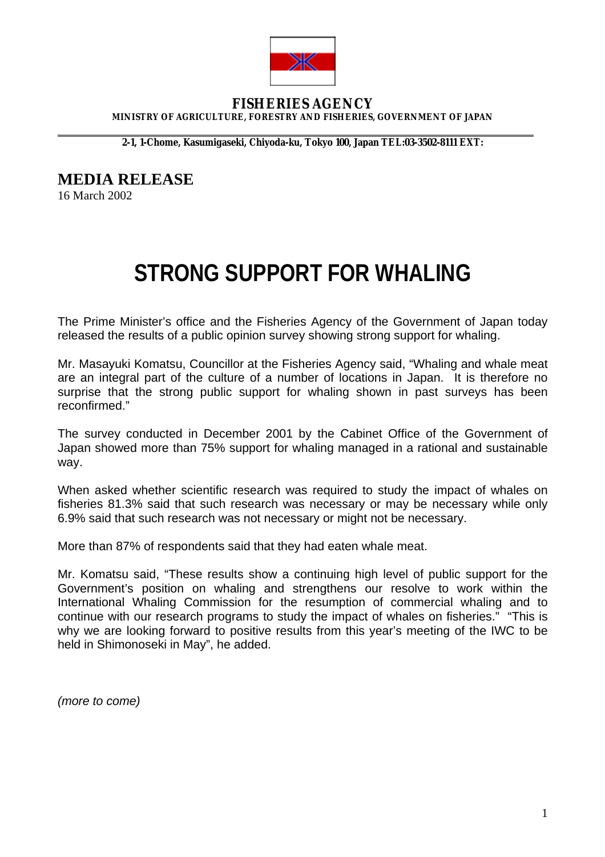

## **FISHERIES AGENCY MINISTRY OF AGRICULTURE, FORESTRY AND FISHERIES, GOVERNMENT OF JAPAN**

**2-1, 1-Chome, Kasumigaseki, Chiyoda-ku, Tokyo 100, Japan TEL:03-3502-8111 EXT:** 

**MEDIA RELEASE** 

16 March 2002

 $\overline{a}$ 

## **STRONG SUPPORT FOR WHALING**

The Prime Minister's office and the Fisheries Agency of the Government of Japan today released the results of a public opinion survey showing strong support for whaling.

Mr. Masayuki Komatsu, Councillor at the Fisheries Agency said, "Whaling and whale meat are an integral part of the culture of a number of locations in Japan. It is therefore no surprise that the strong public support for whaling shown in past surveys has been reconfirmed."

The survey conducted in December 2001 by the Cabinet Office of the Government of Japan showed more than 75% support for whaling managed in a rational and sustainable way.

When asked whether scientific research was required to study the impact of whales on fisheries 81.3% said that such research was necessary or may be necessary while only 6.9% said that such research was not necessary or might not be necessary.

More than 87% of respondents said that they had eaten whale meat.

Mr. Komatsu said, "These results show a continuing high level of public support for the Government's position on whaling and strengthens our resolve to work within the International Whaling Commission for the resumption of commercial whaling and to continue with our research programs to study the impact of whales on fisheries." "This is why we are looking forward to positive results from this year's meeting of the IWC to be held in Shimonoseki in May", he added.

*(more to come)*